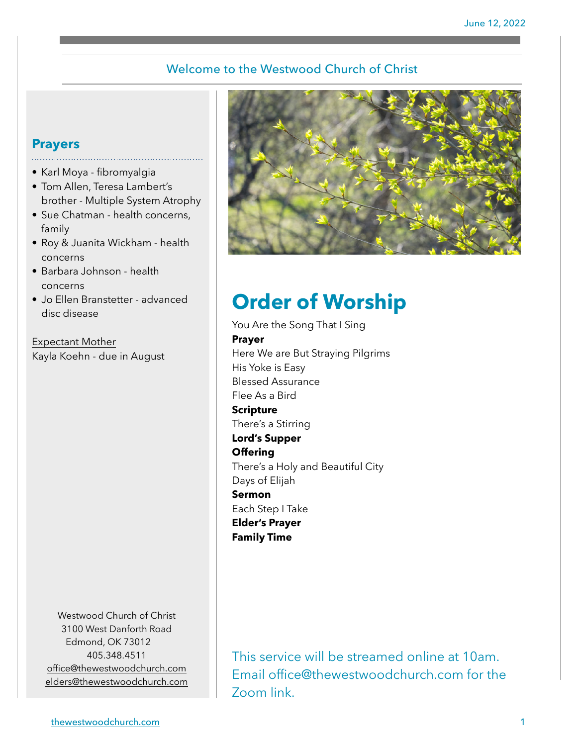### Welcome to the Westwood Church of Christ

## **Prayers**

- Karl Moya fibromyalgia
- Tom Allen, Teresa Lambert's brother - Multiple System Atrophy
- Sue Chatman health concerns, family
- Roy & Juanita Wickham health concerns
- Barbara Johnson health concerns
- Jo Ellen Branstetter advanced disc disease

Expectant Mother Kayla Koehn - due in August

> Westwood Church of Christ 3100 West Danforth Road Edmond, OK 73012 405.348.4511 [office@thewestwoodchurch.com](mailto:office@thewestwoodchurch.com) [elders@thewestwoodchurch.com](mailto:elders@thewestwoodchurch.com)



# **Order of Worship**

You Are the Song That I Sing **Prayer** Here We are But Straying Pilgrims His Yoke is Easy Blessed Assurance Flee As a Bird **Scripture** There's a Stirring **Lord's Supper Offering** There's a Holy and Beautiful City Days of Elijah **Sermon** Each Step I Take **Elder's Prayer Family Time**

This service will be streamed online at 10am. Email office@thewestwoodchurch.com for the Zoom link.